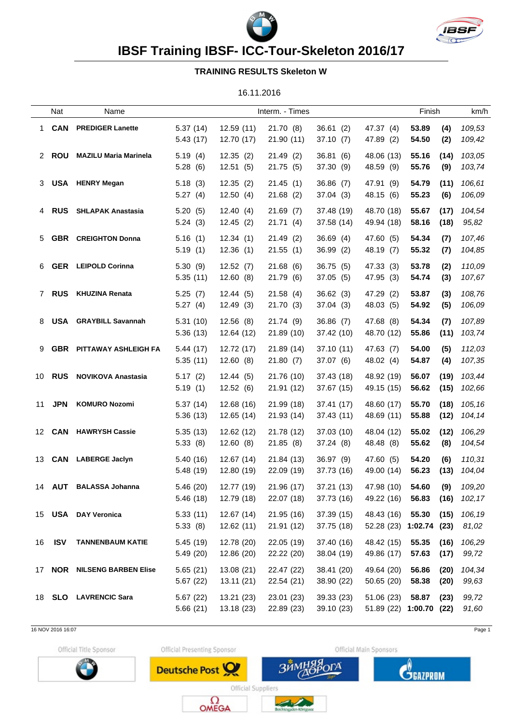



**IBSF Training IBSF- ICC-Tour-Skeleton 2016/17**

## **TRAINING RESULTS Skeleton W**

16.11.2016

|    | Nat           | Name                            |                      |                          | Interm. - Times          |                          |                                            | Finish         |              | km/h             |
|----|---------------|---------------------------------|----------------------|--------------------------|--------------------------|--------------------------|--------------------------------------------|----------------|--------------|------------------|
| 1  | <b>CAN</b>    | <b>PREDIGER Lanette</b>         | 5.37(14)<br>5.43(17) | 12.59(11)<br>12.70 (17)  | 21.70 (8)<br>21.90 (11)  | 36.61(2)<br>37.10(7)     | 47.37 (4)<br>47.89 (2)                     | 53.89<br>54.50 | (4)<br>(2)   | 109,53<br>109,42 |
|    | 2 ROU         | <b>MAZILU Maria Marinela</b>    | 5.19(4)<br>5.28(6)   | 12.35(2)<br>12.51(5)     | 21.49 (2)<br>21.75 (5)   | 36.81(6)<br>37.30 (9)    | 48.06 (13)<br>48.59 (9)                    | 55.16<br>55.76 | (14)<br>(9)  | 103,05<br>103,74 |
| 3  | <b>USA</b>    | <b>HENRY Megan</b>              | 5.18(3)<br>5.27(4)   | 12.35(2)<br>12.50(4)     | 21.45(1)<br>21.68(2)     | 36.86 (7)<br>37.04(3)    | 47.91 (9)<br>48.15 (6)                     | 54.79<br>55.23 | (11)<br>(6)  | 106,61<br>106,09 |
| 4  | <b>RUS</b>    | <b>SHLAPAK Anastasia</b>        | 5.20(5)<br>5.24(3)   | 12.40(4)<br>12.45(2)     | 21.69(7)<br>21.71(4)     | 37.48 (19)<br>37.58 (14) | 48.70 (18)<br>49.94 (18)                   | 55.67<br>58.16 | (17)<br>(18) | 104,54<br>95,82  |
| 5  | <b>GBR</b>    | <b>CREIGHTON Donna</b>          | 5.16(1)<br>5.19(1)   | 12.34(1)<br>12.36(1)     | 21.49(2)<br>21.55(1)     | 36.69(4)<br>36.99(2)     | 47.60 (5)<br>48.19 (7)                     | 54.34<br>55.32 | (7)<br>(7)   | 107,46<br>104,85 |
| 6. | <b>GER</b>    | <b>LEIPOLD Corinna</b>          | 5.30(9)<br>5.35(11)  | 12.52(7)<br>12.60(8)     | 21.68(6)<br>21.79 (6)    | 36.75 (5)<br>37.05 (5)   | 47.33 (3)<br>47.95 (3)                     | 53.78<br>54.74 | (2)<br>(3)   | 110,09<br>107,67 |
|    | 7 RUS         | <b>KHUZINA Renata</b>           | 5.25(7)<br>5.27(4)   | 12.44(5)<br>12.49(3)     | 21.58(4)<br>21.70 (3)    | 36.62(3)<br>37.04 (3)    | 47.29 (2)<br>48.03 (5)                     | 53.87<br>54.92 | (3)<br>(5)   | 108,76<br>106,09 |
| 8. | <b>USA</b>    | <b>GRAYBILL Savannah</b>        | 5.31(10)<br>5.36(13) | 12.56(8)<br>12.64 (12)   | 21.74(9)<br>21.89 (10)   | 36.86(7)<br>37.42 (10)   | 47.68 (8)<br>48.70 (12)                    | 54.34<br>55.86 | (7)<br>(11)  | 107,89<br>103,74 |
| 9  |               | <b>GBR PITTAWAY ASHLEIGH FA</b> | 5.44(17)<br>5.35(11) | 12.72 (17)<br>12.60(8)   | 21.89 (14)<br>21.80(7)   | 37.10 (11)<br>37.07 (6)  | 47.63 (7)<br>48.02 (4)                     | 54.00<br>54.87 | (5)<br>(4)   | 112,03<br>107,35 |
|    | 10 <b>RUS</b> | <b>NOVIKOVA Anastasia</b>       | 5.17(2)<br>5.19(1)   | 12.44(5)<br>12.52(6)     | 21.76 (10)<br>21.91 (12) | 37.43 (18)<br>37.67 (15) | 48.92 (19)<br>49.15 (15)                   | 56.07<br>56.62 | (19)<br>(15) | 103,44<br>102,66 |
| 11 | <b>JPN</b>    | <b>KOMURO Nozomi</b>            | 5.37(14)<br>5.36(13) | 12.68 (16)<br>12.65 (14) | 21.99 (18)<br>21.93 (14) | 37.41 (17)<br>37.43 (11) | 48.60 (17)<br>48.69 (11)                   | 55.70<br>55.88 | (18)<br>(12) | 105,16<br>104,14 |
|    |               | 12 CAN HAWRYSH Cassie           | 5.35(13)<br>5.33(8)  | 12.62 (12)<br>12.60(8)   | 21.78 (12)<br>21.85 (8)  | 37.03 (10)<br>37.24 (8)  | 48.04 (12)<br>48.48 (8)                    | 55.02<br>55.62 | (12)<br>(8)  | 106,29<br>104,54 |
|    | 13 <b>CAN</b> | <b>LABERGE Jaclyn</b>           | 5.40(16)<br>5.48(19) | 12.67 (14)<br>12.80 (19) | 21.84 (13)<br>22.09 (19) | 36.97 (9)<br>37.73 (16)  | 47.60 (5)<br>49.00 (14)                    | 54.20<br>56.23 | (6)<br>(13)  | 110,31<br>104,04 |
|    |               | 14 AUT BALASSA Johanna          | 5.46(20)<br>5.46(18) | 12.77 (19)<br>12.79 (18) | 21.96 (17)<br>22.07 (18) | 37.21 (13)<br>37.73 (16) | 47.98 (10)<br>49.22 (16) 56.83 (16) 102,17 | 54.60          | (9)          | 109,20           |
|    |               | 15 USA DAY Veronica             | 5.33(11)<br>5.33(8)  | 12.67 (14)<br>12.62(11)  | 21.95 (16)<br>21.91(12)  | 37.39 (15)<br>37.75 (18) | 48.43 (16)<br>52.28 (23) 1:02.74 (23)      | 55.30          | (15)         | 106,19<br>81,02  |
|    | 16 <b>ISV</b> | <b>TANNENBAUM KATIE</b>         | 5.45(19)<br>5.49(20) | 12.78 (20)<br>12.86 (20) | 22.05 (19)<br>22.22 (20) | 37.40 (16)<br>38.04 (19) | 48.42 (15)<br>49.86 (17)                   | 55.35<br>57.63 | (16)<br>(17) | 106,29<br>99,72  |
|    |               | 17 NOR NILSENG BARBEN Elise     | 5.65(21)<br>5.67(22) | 13.08(21)<br>13.11(21)   | 22.47 (22)<br>22.54(21)  | 38.41 (20)<br>38.90 (22) | 49.64 (20)<br>50.65(20)                    | 56.86<br>58.38 | (20)<br>(20) | 104,34<br>99,63  |
|    |               | 18 SLO LAVRENCIC Sara           | 5.67(22)<br>5.66(21) | 13.21 (23)<br>13.18 (23) | 23.01 (23)<br>22.89 (23) | 39.33(23)<br>39.10(23)   | 51.06(23)<br>51.89 (22) 1:00.70 (22)       | 58.87          | (23)         | 99,72<br>91,60   |

16 NOV 2016 16:07 Page 1

Official Title Sponsor



Official Presenting Sponsor

Deutsche Post





Official Suppliers  $\Omega_{\text{OMEGA}}$ 

ر س